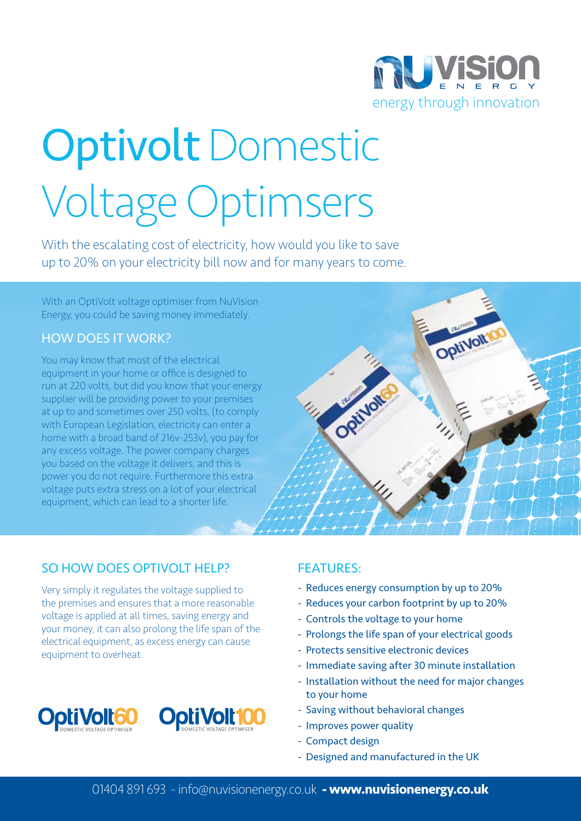

# Optivolt Domestic Voltage Optimsers

With the escalating cost of electricity, how would you like to save up to 20% on your electricity bill now and for many years to come.

With an OptiVolt voltage optimiser from NuVision Energy, you could be saving money immediately.

#### How does it work?

You may know that most of the electrical equipment in your home or office is designed to run at 220 volts, but did you know that your energy supplier will be providing power to your premises at up to and sometimes over 250 volts, (to comply with European Legislation, electricity can enter a home with a broad band of 216v-253v), you pay for any excess voltage. The power company charges you based on the voltage it delivers, and this is power you do not require. Furthermore this extra voltage puts extra stress on a lot of your electrical equipment, which can lead to a shorter life.



### SO HOW DOES OPTIVOLT HELP?

Very simply it regulates the voltage supplied to the premises and ensures that a more reasonable voltage is applied at all times, saving energy and your money, it can also prolong the life span of the electrical equipment, as excess energy can cause equipment to overheat.



### Features:

- Reduces energy consumption by up to 20%
- Reduces your carbon footprint by up to 20%
- Controls the voltage to your home
- Prolongs the life span of your electrical goods
- Protects sensitive electronic devices
- Immediate saving after 30 minute installation
- Installation without the need for major changes to your home
- Saving without behavioral changes
- Improves power quality
- Compact design
- Designed and manufactured in the UK